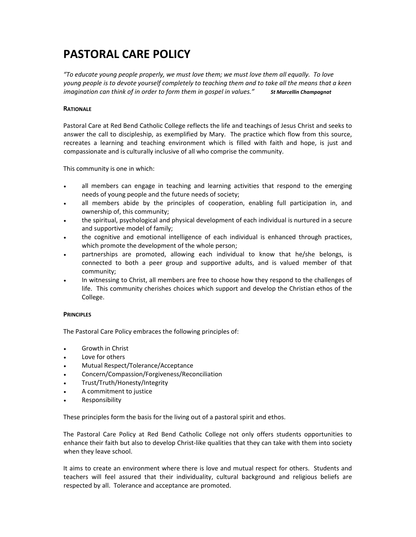# **PASTORAL CARE POLICY**

*"To educate young people properly, we must love them; we must love them all equally. To love* young people is to devote yourself completely to teaching them and to take all the means that a keen *imagination can think of in order to form them in gospel in values." St Marcellin Champagnat*

# **RATIONALE**

Pastoral Care at Red Bend Catholic College reflects the life and teachings of Jesus Christ and seeks to answer the call to discipleship, as exemplified by Mary. The practice which flow from this source, recreates a learning and teaching environment which is filled with faith and hope, is just and compassionate and is culturally inclusive of all who comprise the community.

This community is one in which:

- all members can engage in teaching and learning activities that respond to the emerging needs of young people and the future needs of society;
- all members abide by the principles of cooperation, enabling full participation in, and ownership of, this community;
- the spiritual, psychological and physical development of each individual is nurtured in a secure and supportive model of family;
- the cognitive and emotional intelligence of each individual is enhanced through practices, which promote the development of the whole person;
- partnerships are promoted, allowing each individual to know that he/she belongs, is connected to both a peer group and supportive adults, and is valued member of that community;
- In witnessing to Christ, all members are free to choose how they respond to the challenges of life. This community cherishes choices which support and develop the Christian ethos of the College.

## **PRINCIPLES**

The Pastoral Care Policy embraces the following principles of:

- Growth in Christ
- Love for others
- Mutual Respect/Tolerance/Acceptance
- Concern/Compassion/Forgiveness/Reconciliation
- Trust/Truth/Honesty/Integrity
- A commitment to justice
- Responsibility

These principles form the basis for the living out of a pastoral spirit and ethos.

The Pastoral Care Policy at Red Bend Catholic College not only offers students opportunities to enhance their faith but also to develop Christ-like qualities that they can take with them into society when they leave school.

It aims to create an environment where there is love and mutual respect for others. Students and teachers will feel assured that their individuality, cultural background and religious beliefs are respected by all. Tolerance and acceptance are promoted.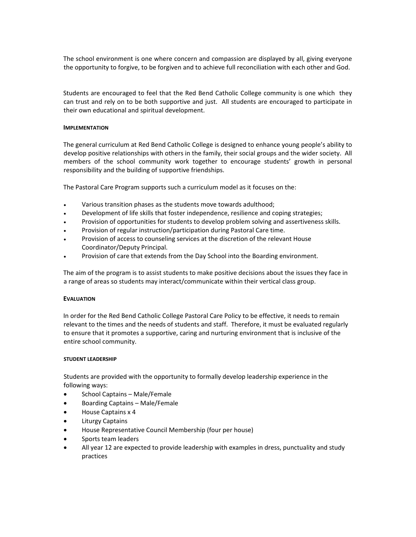The school environment is one where concern and compassion are displayed by all, giving everyone the opportunity to forgive, to be forgiven and to achieve full reconciliation with each other and God.

Students are encouraged to feel that the Red Bend Catholic College community is one which they can trust and rely on to be both supportive and just. All students are encouraged to participate in their own educational and spiritual development.

## **IMPLEMENTATION**

The general curriculum at Red Bend Catholic College is designed to enhance young people's ability to develop positive relationships with others in the family, their social groups and the wider society. All members of the school community work together to encourage students' growth in personal responsibility and the building of supportive friendships.

The Pastoral Care Program supports such a curriculum model as it focuses on the:

- Various transition phases as the students move towards adulthood;
- Development of life skills that foster independence, resilience and coping strategies;
- Provision of opportunities for students to develop problem solving and assertiveness skills.
- Provision of regular instruction/participation during Pastoral Care time.
- Provision of access to counseling services at the discretion of the relevant House Coordinator/Deputy Principal.
- Provision of care that extends from the Day School into the Boarding environment.

The aim of the program is to assist students to make positive decisions about the issues they face in a range of areas so students may interact/communicate within their vertical class group.

## **EVALUATION**

In order for the Red Bend Catholic College Pastoral Care Policy to be effective, it needs to remain relevant to the times and the needs of students and staff. Therefore, it must be evaluated regularly to ensure that it promotes a supportive, caring and nurturing environment that is inclusive of the entire school community.

## **STUDENT LEADERSHIP**

Students are provided with the opportunity to formally develop leadership experience in the following ways:

- School Captains Male/Female
- Boarding Captains Male/Female
- House Captains x 4
- Liturgy Captains
- House Representative Council Membership (four per house)
- Sports team leaders
- All year 12 are expected to provide leadership with examples in dress, punctuality and study practices